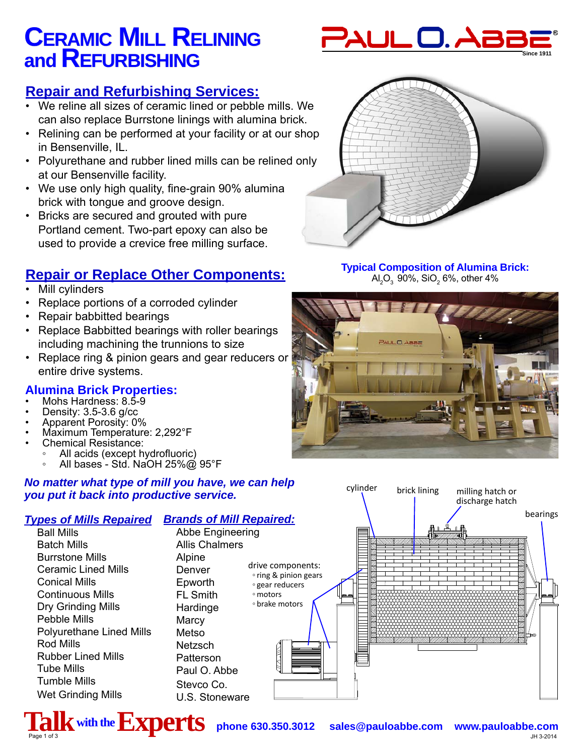# **CERAMIC MILL RELINING and REFURBISHING**



### **Repair and Refurbishing Services:**

- We reline all sizes of ceramic lined or pebble mills. We can also replace Burrstone linings with alumina brick.
- Relining can be performed at your facility or at our shop in Bensenville, IL.
- Polyurethane and rubber lined mills can be relined only at our Bensenville facility.
- We use only high quality, fine-grain 90% alumina brick with tongue and groove design.
- Bricks are secured and grouted with pure Portland cement. Two-part epoxy can also be used to provide a crevice free milling surface.

### **Repair or Replace Other Components:**

- **Mill cylinders**
- Replace portions of a corroded cylinder
- Repair babbitted bearings
- Replace Babbitted bearings with roller bearings including machining the trunnions to size
- Replace ring & pinion gears and gear reducers or entire drive systems.

### **Alumina Brick Properties:**

- Mohs Hardness: 8.5-9
- Density: 3.5-3.6 g/cc
- Apparent Porosity: 0%
- Maximum Temperature: 2,292°F
- Chemical Resistance:
	- All acids (except hydrofluoric)
	- All bases Std. NaOH 25%@ 95°F

#### *No matter what type of mill you have, we can help you put it back into productive service.*

#### *Types of Mills Repaired Brands of Mill Repaired:*

Ball Mills Batch Mills Burrstone Mills Ceramic Lined Mills Conical Mills Continuous Mills Dry Grinding Mills Pebble Mills Polyurethane Lined Mills Rod Mills Rubber Lined Mills Tube Mills Tumble Mills Wet Grinding Mills

Alpine Denver Epworth FL Smith Hardinge **Marcy** Metso **Netzsch Patterson** Paul O. Abbe

Stevco Co. U.S. Stoneware





#### **Typical Composition of Alumina Brick:**  Al $_{2} \mathrm{O}_{_{3}}$  90%, SiO $_{2}$  6%, other 4%





 $\boldsymbol{\mathrm{Y}}$  with the  $\boldsymbol{\mathrm{EXPers}}$   $\boldsymbol{\mathrm{prers}}$  phone 630.350.3012 sales@pauloabbe.com www.pauloabbe.com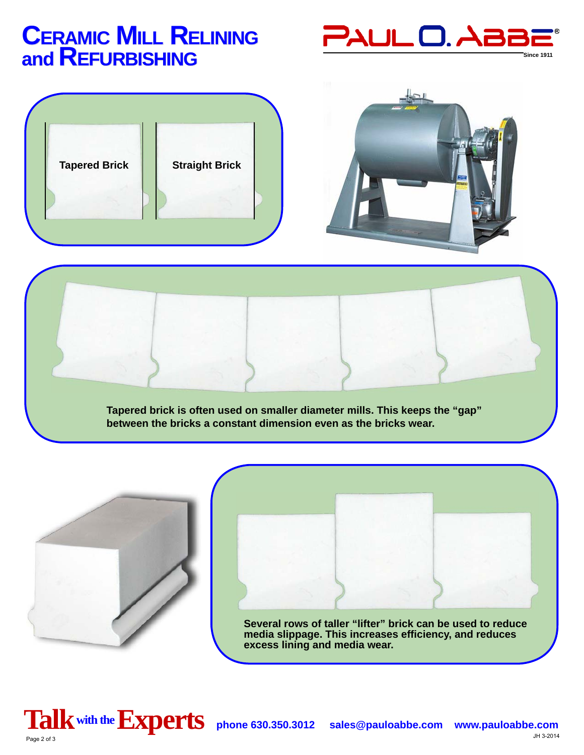## **CERAMIC MILL RELINING and REFURBISHING**







**Tapered brick is often used on smaller diameter mills. This keeps the "gap" between the bricks a constant dimension even as the bricks wear.** 





**media slippage. This increases effi ciency, and reduces excess lining and media wear.**